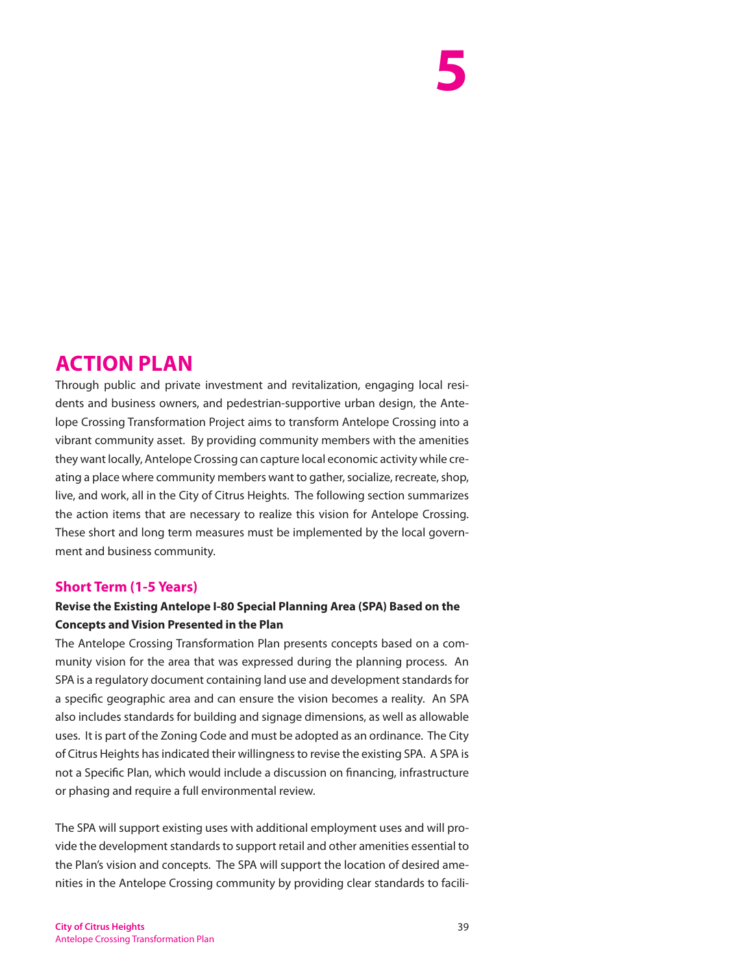# **5**

### **ACTION PLAN**

Through public and private investment and revitalization, engaging local residents and business owners, and pedestrian-supportive urban design, the Antelope Crossing Transformation Project aims to transform Antelope Crossing into a vibrant community asset. By providing community members with the amenities they want locally, Antelope Crossing can capture local economic activity while creating a place where community members want to gather, socialize, recreate, shop, live, and work, all in the City of Citrus Heights. The following section summarizes the action items that are necessary to realize this vision for Antelope Crossing. These short and long term measures must be implemented by the local government and business community.

#### **Short Term (1-5 Years)**

#### **Revise the Existing Antelope I-80 Special Planning Area (SPA) Based on the Concepts and Vision Presented in the Plan**

The Antelope Crossing Transformation Plan presents concepts based on a community vision for the area that was expressed during the planning process. An SPA is a regulatory document containing land use and development standards for a specific geographic area and can ensure the vision becomes a reality. An SPA also includes standards for building and signage dimensions, as well as allowable uses. It is part of the Zoning Code and must be adopted as an ordinance. The City of Citrus Heights has indicated their willingness to revise the existing SPA. A SPA is not a Specific Plan, which would include a discussion on financing, infrastructure or phasing and require a full environmental review.

The SPA will support existing uses with additional employment uses and will provide the development standards to support retail and other amenities essential to the Plan's vision and concepts. The SPA will support the location of desired amenities in the Antelope Crossing community by providing clear standards to facili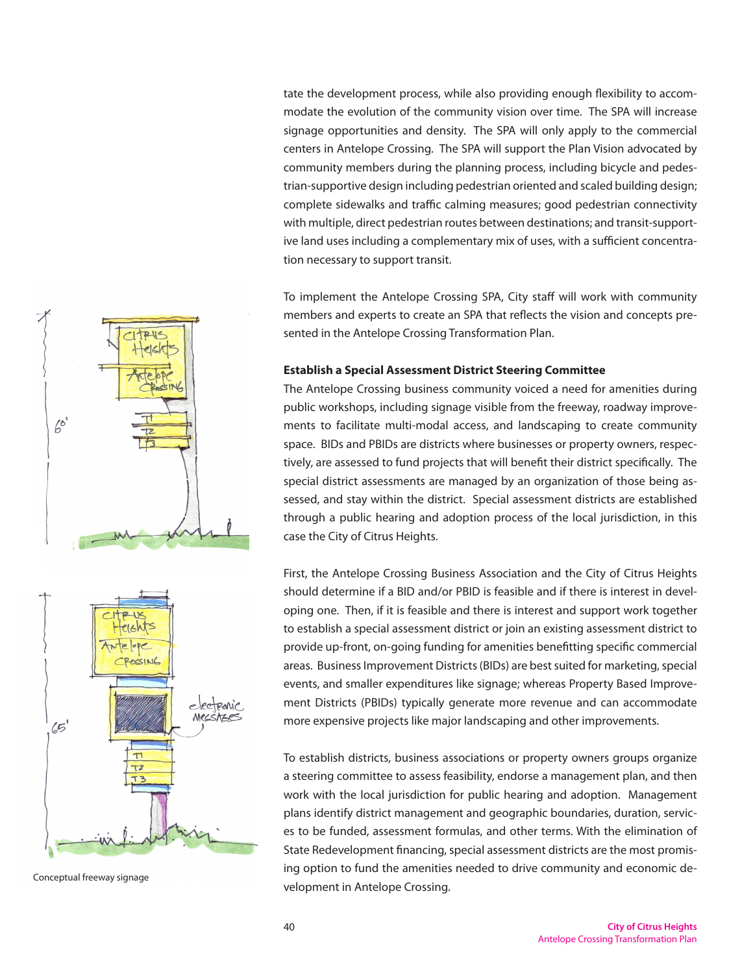tate the development process, while also providing enough flexibility to accommodate the evolution of the community vision over time. The SPA will increase signage opportunities and density. The SPA will only apply to the commercial centers in Antelope Crossing. The SPA will support the Plan Vision advocated by community members during the planning process, including bicycle and pedestrian-supportive design including pedestrian oriented and scaled building design; complete sidewalks and traffic calming measures; good pedestrian connectivity with multiple, direct pedestrian routes between destinations; and transit-supportive land uses including a complementary mix of uses, with a sufficient concentration necessary to support transit.

To implement the Antelope Crossing SPA, City staff will work with community members and experts to create an SPA that reflects the vision and concepts presented in the Antelope Crossing Transformation Plan.

#### **Establish a Special Assessment District Steering Committee**

The Antelope Crossing business community voiced a need for amenities during public workshops, including signage visible from the freeway, roadway improvements to facilitate multi-modal access, and landscaping to create community space. BIDs and PBIDs are districts where businesses or property owners, respectively, are assessed to fund projects that will benefit their district specifically. The special district assessments are managed by an organization of those being assessed, and stay within the district. Special assessment districts are established through a public hearing and adoption process of the local jurisdiction, in this case the City of Citrus Heights.

First, the Antelope Crossing Business Association and the City of Citrus Heights should determine if a BID and/or PBID is feasible and if there is interest in developing one. Then, if it is feasible and there is interest and support work together to establish a special assessment district or join an existing assessment district to provide up-front, on-going funding for amenities benefitting specific commercial areas. Business Improvement Districts (BIDs) are best suited for marketing, special events, and smaller expenditures like signage; whereas Property Based Improvement Districts (PBIDs) typically generate more revenue and can accommodate more expensive projects like major landscaping and other improvements.

To establish districts, business associations or property owners groups organize a steering committee to assess feasibility, endorse a management plan, and then work with the local jurisdiction for public hearing and adoption. Management plans identify district management and geographic boundaries, duration, services to be funded, assessment formulas, and other terms. With the elimination of State Redevelopment financing, special assessment districts are the most promising option to fund the amenities needed to drive community and economic development in Antelope Crossing. Conceptual freeway signage



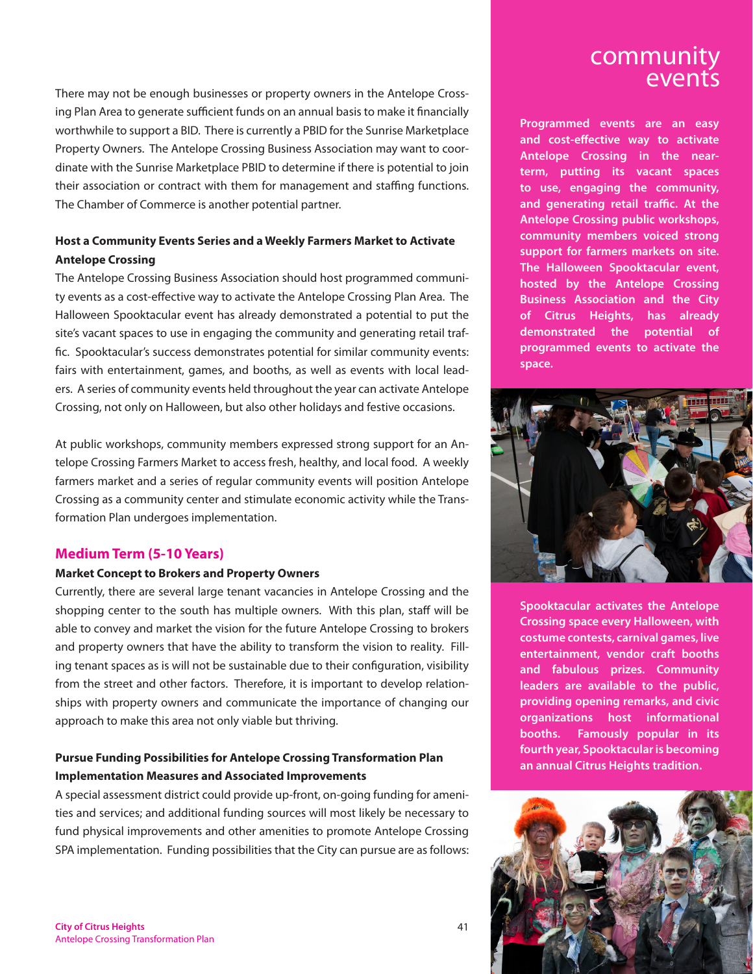There may not be enough businesses or property owners in the Antelope Crossing Plan Area to generate sufficient funds on an annual basis to make it financially worthwhile to support a BID. There is currently a PBID for the Sunrise Marketplace Property Owners. The Antelope Crossing Business Association may want to coordinate with the Sunrise Marketplace PBID to determine if there is potential to join their association or contract with them for management and staffing functions. The Chamber of Commerce is another potential partner.

#### **Host a Community Events Series and a Weekly Farmers Market to Activate Antelope Crossing**

The Antelope Crossing Business Association should host programmed community events as a cost-effective way to activate the Antelope Crossing Plan Area. The Halloween Spooktacular event has already demonstrated a potential to put the site's vacant spaces to use in engaging the community and generating retail traffic. Spooktacular's success demonstrates potential for similar community events: fairs with entertainment, games, and booths, as well as events with local leaders. A series of community events held throughout the year can activate Antelope Crossing, not only on Halloween, but also other holidays and festive occasions.

At public workshops, community members expressed strong support for an Antelope Crossing Farmers Market to access fresh, healthy, and local food. A weekly farmers market and a series of regular community events will position Antelope Crossing as a community center and stimulate economic activity while the Transformation Plan undergoes implementation.

#### **Medium Term (5-10 Years)**

#### **Market Concept to Brokers and Property Owners**

Currently, there are several large tenant vacancies in Antelope Crossing and the shopping center to the south has multiple owners. With this plan, staff will be able to convey and market the vision for the future Antelope Crossing to brokers and property owners that have the ability to transform the vision to reality. Filling tenant spaces as is will not be sustainable due to their configuration, visibility from the street and other factors. Therefore, it is important to develop relationships with property owners and communicate the importance of changing our approach to make this area not only viable but thriving.

#### **Pursue Funding Possibilities for Antelope Crossing Transformation Plan Implementation Measures and Associated Improvements**

A special assessment district could provide up-front, on-going funding for amenities and services; and additional funding sources will most likely be necessary to fund physical improvements and other amenities to promote Antelope Crossing SPA implementation. Funding possibilities that the City can pursue are as follows:

## community

**Programmed events are an easy and cost-effective way to activate Antelope Crossing in the nearterm, putting its vacant spaces to use, engaging the community, and generating retail traffic. At the Antelope Crossing public workshops, community members voiced strong support for farmers markets on site. The Halloween Spooktacular event, hosted by the Antelope Crossing Business Association and the City of Citrus Heights, has already demonstrated the potential of programmed events to activate the space.** 



**Spooktacular activates the Antelope Crossing space every Halloween, with costume contests, carnival games, live entertainment, vendor craft booths and fabulous prizes. Community leaders are available to the public, providing opening remarks, and civic organizations host informational booths. Famously popular in its fourth year, Spooktacular is becoming an annual Citrus Heights tradition.**

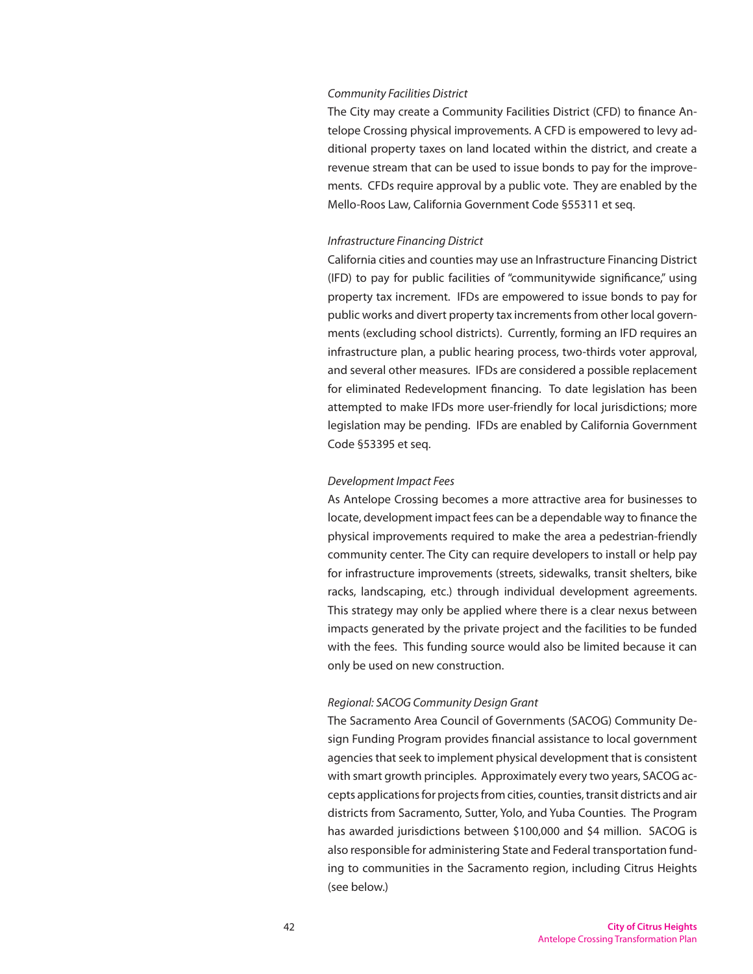#### *Community Facilities District*

The City may create a Community Facilities District (CFD) to finance Antelope Crossing physical improvements. A CFD is empowered to levy additional property taxes on land located within the district, and create a revenue stream that can be used to issue bonds to pay for the improvements. CFDs require approval by a public vote. They are enabled by the Mello-Roos Law, California Government Code §55311 et seq.

#### *Infrastructure Financing District*

California cities and counties may use an Infrastructure Financing District (IFD) to pay for public facilities of "communitywide significance," using property tax increment. IFDs are empowered to issue bonds to pay for public works and divert property tax increments from other local governments (excluding school districts). Currently, forming an IFD requires an infrastructure plan, a public hearing process, two-thirds voter approval, and several other measures. IFDs are considered a possible replacement for eliminated Redevelopment financing. To date legislation has been attempted to make IFDs more user-friendly for local jurisdictions; more legislation may be pending. IFDs are enabled by California Government Code §53395 et seq.

#### *Development Impact Fees*

As Antelope Crossing becomes a more attractive area for businesses to locate, development impact fees can be a dependable way to finance the physical improvements required to make the area a pedestrian-friendly community center. The City can require developers to install or help pay for infrastructure improvements (streets, sidewalks, transit shelters, bike racks, landscaping, etc.) through individual development agreements. This strategy may only be applied where there is a clear nexus between impacts generated by the private project and the facilities to be funded with the fees. This funding source would also be limited because it can only be used on new construction.

#### *Regional: SACOG Community Design Grant*

The Sacramento Area Council of Governments (SACOG) Community Design Funding Program provides financial assistance to local government agencies that seek to implement physical development that is consistent with smart growth principles. Approximately every two years, SACOG accepts applications for projects from cities, counties, transit districts and air districts from Sacramento, Sutter, Yolo, and Yuba Counties. The Program has awarded jurisdictions between \$100,000 and \$4 million. SACOG is also responsible for administering State and Federal transportation funding to communities in the Sacramento region, including Citrus Heights (see below.)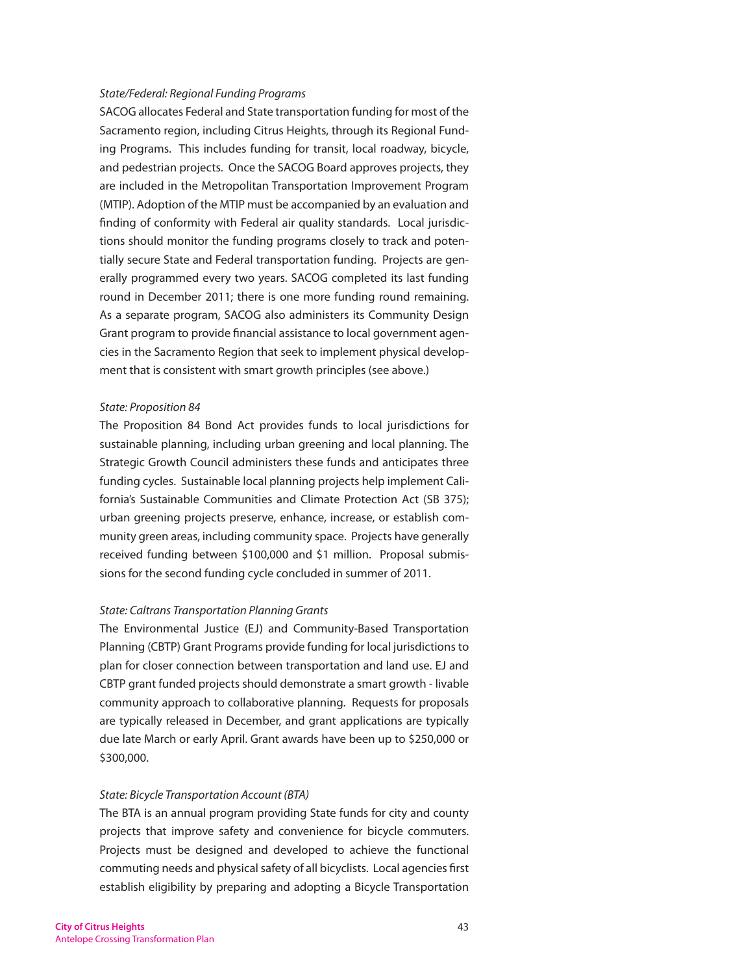#### *State/Federal: Regional Funding Programs*

SACOG allocates Federal and State transportation funding for most of the Sacramento region, including Citrus Heights, through its Regional Funding Programs. This includes funding for transit, local roadway, bicycle, and pedestrian projects. Once the SACOG Board approves projects, they are included in the Metropolitan Transportation Improvement Program (MTIP). Adoption of the MTIP must be accompanied by an evaluation and finding of conformity with Federal air quality standards. Local jurisdictions should monitor the funding programs closely to track and potentially secure State and Federal transportation funding. Projects are generally programmed every two years. SACOG completed its last funding round in December 2011; there is one more funding round remaining. As a separate program, SACOG also administers its Community Design Grant program to provide financial assistance to local government agencies in the Sacramento Region that seek to implement physical development that is consistent with smart growth principles (see above.)

#### *State: Proposition 84*

The Proposition 84 Bond Act provides funds to local jurisdictions for sustainable planning, including urban greening and local planning. The Strategic Growth Council administers these funds and anticipates three funding cycles. Sustainable local planning projects help implement California's Sustainable Communities and Climate Protection Act (SB 375); urban greening projects preserve, enhance, increase, or establish community green areas, including community space. Projects have generally received funding between \$100,000 and \$1 million. Proposal submissions for the second funding cycle concluded in summer of 2011.

#### *State: Caltrans Transportation Planning Grants*

The Environmental Justice (EJ) and Community-Based Transportation Planning (CBTP) Grant Programs provide funding for local jurisdictions to plan for closer connection between transportation and land use. EJ and CBTP grant funded projects should demonstrate a smart growth - livable community approach to collaborative planning. Requests for proposals are typically released in December, and grant applications are typically due late March or early April. Grant awards have been up to \$250,000 or \$300,000.

#### *State: Bicycle Transportation Account (BTA)*

The BTA is an annual program providing State funds for city and county projects that improve safety and convenience for bicycle commuters. Projects must be designed and developed to achieve the functional commuting needs and physical safety of all bicyclists. Local agencies first establish eligibility by preparing and adopting a Bicycle Transportation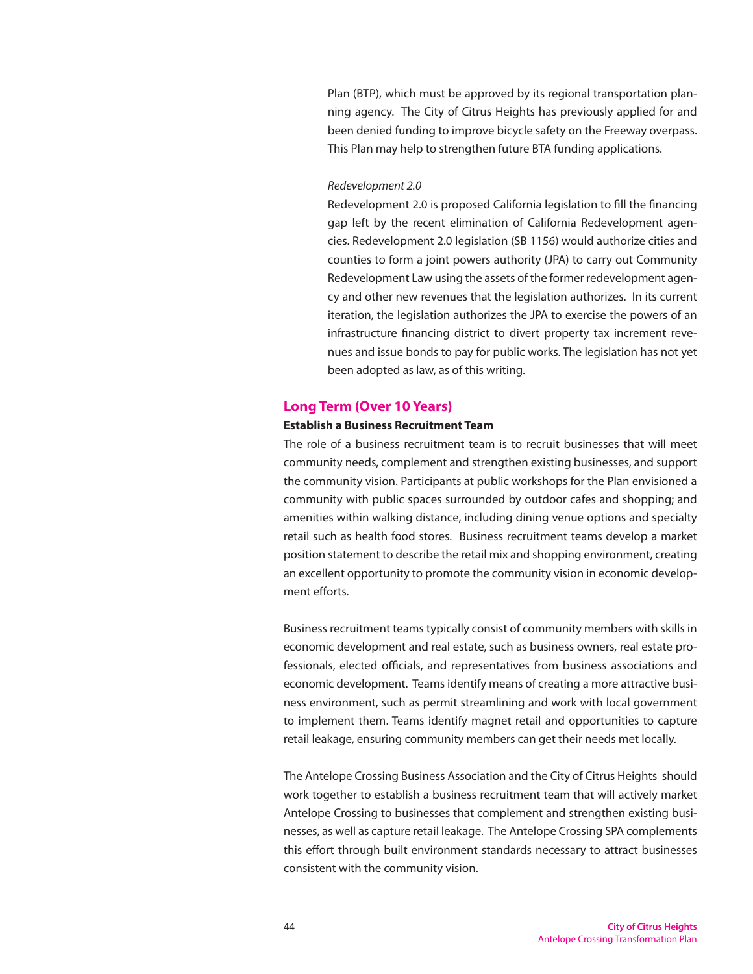Plan (BTP), which must be approved by its regional transportation planning agency. The City of Citrus Heights has previously applied for and been denied funding to improve bicycle safety on the Freeway overpass. This Plan may help to strengthen future BTA funding applications.

#### *Redevelopment 2.0*

Redevelopment 2.0 is proposed California legislation to fill the financing gap left by the recent elimination of California Redevelopment agencies. Redevelopment 2.0 legislation (SB 1156) would authorize cities and counties to form a joint powers authority (JPA) to carry out Community Redevelopment Law using the assets of the former redevelopment agency and other new revenues that the legislation authorizes. In its current iteration, the legislation authorizes the JPA to exercise the powers of an infrastructure financing district to divert property tax increment revenues and issue bonds to pay for public works. The legislation has not yet been adopted as law, as of this writing.

#### **Long Term (Over 10 Years)**

#### **Establish a Business Recruitment Team**

The role of a business recruitment team is to recruit businesses that will meet community needs, complement and strengthen existing businesses, and support the community vision. Participants at public workshops for the Plan envisioned a community with public spaces surrounded by outdoor cafes and shopping; and amenities within walking distance, including dining venue options and specialty retail such as health food stores. Business recruitment teams develop a market position statement to describe the retail mix and shopping environment, creating an excellent opportunity to promote the community vision in economic development efforts.

Business recruitment teams typically consist of community members with skills in economic development and real estate, such as business owners, real estate professionals, elected officials, and representatives from business associations and economic development. Teams identify means of creating a more attractive business environment, such as permit streamlining and work with local government to implement them. Teams identify magnet retail and opportunities to capture retail leakage, ensuring community members can get their needs met locally.

The Antelope Crossing Business Association and the City of Citrus Heights should work together to establish a business recruitment team that will actively market Antelope Crossing to businesses that complement and strengthen existing businesses, as well as capture retail leakage. The Antelope Crossing SPA complements this effort through built environment standards necessary to attract businesses consistent with the community vision.